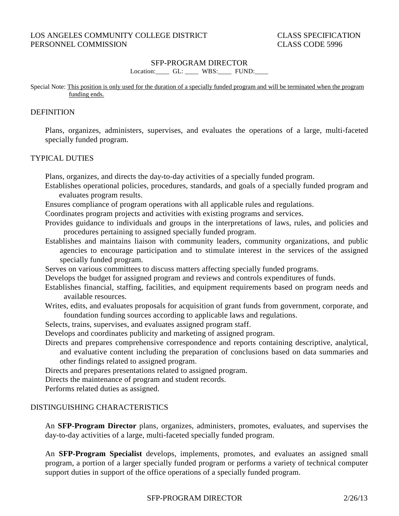#### SFP-PROGRAM DIRECTOR

Location: GL: \_\_\_\_ WBS: FUND:

#### Special Note: This position is only used for the duration of a specially funded program and will be terminated when the program funding ends.

#### **DEFINITION**

Plans, organizes, administers, supervises, and evaluates the operations of a large, multi-faceted specially funded program.

### TYPICAL DUTIES

Plans, organizes, and directs the day-to-day activities of a specially funded program.

- Establishes operational policies, procedures, standards, and goals of a specially funded program and evaluates program results.
- Ensures compliance of program operations with all applicable rules and regulations.
- Coordinates program projects and activities with existing programs and services.
- Provides guidance to individuals and groups in the interpretations of laws, rules, and policies and procedures pertaining to assigned specially funded program.
- Establishes and maintains liaison with community leaders, community organizations, and public agencies to encourage participation and to stimulate interest in the services of the assigned specially funded program.
- Serves on various committees to discuss matters affecting specially funded programs.
- Develops the budget for assigned program and reviews and controls expenditures of funds.
- Establishes financial, staffing, facilities, and equipment requirements based on program needs and available resources.

Writes, edits, and evaluates proposals for acquisition of grant funds from government, corporate, and foundation funding sources according to applicable laws and regulations.

- Selects, trains, supervises, and evaluates assigned program staff.
- Develops and coordinates publicity and marketing of assigned program.
- Directs and prepares comprehensive correspondence and reports containing descriptive, analytical, and evaluative content including the preparation of conclusions based on data summaries and other findings related to assigned program.

Directs and prepares presentations related to assigned program.

Directs the maintenance of program and student records.

Performs related duties as assigned.

### DISTINGUISHING CHARACTERISTICS

An **SFP-Program Director** plans, organizes, administers, promotes, evaluates, and supervises the day-to-day activities of a large, multi-faceted specially funded program.

An **SFP-Program Specialist** develops, implements, promotes, and evaluates an assigned small program, a portion of a larger specially funded program or performs a variety of technical computer support duties in support of the office operations of a specially funded program.

## SFP-PROGRAM DIRECTOR 2/26/13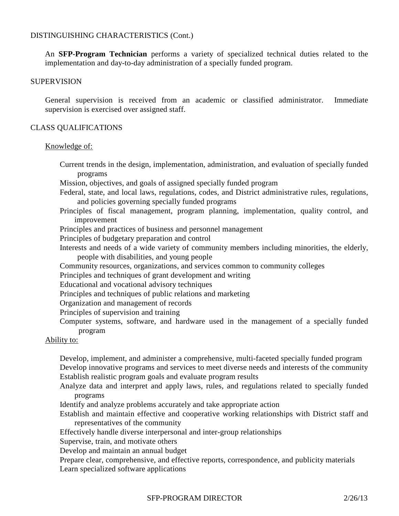### DISTINGUISHING CHARACTERISTICS (Cont.)

An **SFP-Program Technician** performs a variety of specialized technical duties related to the implementation and day-to-day administration of a specially funded program.

#### **SUPERVISION**

General supervision is received from an academic or classified administrator. Immediate supervision is exercised over assigned staff.

#### CLASS QUALIFICATIONS

#### Knowledge of:

- Current trends in the design, implementation, administration, and evaluation of specially funded programs
- Mission, objectives, and goals of assigned specially funded program
- Federal, state, and local laws, regulations, codes, and District administrative rules, regulations, and policies governing specially funded programs
- Principles of fiscal management, program planning, implementation, quality control, and improvement
- Principles and practices of business and personnel management
- Principles of budgetary preparation and control
- Interests and needs of a wide variety of community members including minorities, the elderly, people with disabilities, and young people
- Community resources, organizations, and services common to community colleges
- Principles and techniques of grant development and writing
- Educational and vocational advisory techniques
- Principles and techniques of public relations and marketing
- Organization and management of records
- Principles of supervision and training
- Computer systems, software, and hardware used in the management of a specially funded program

### Ability to:

Develop, implement, and administer a comprehensive, multi-faceted specially funded program Develop innovative programs and services to meet diverse needs and interests of the community Establish realistic program goals and evaluate program results

- Analyze data and interpret and apply laws, rules, and regulations related to specially funded programs
- Identify and analyze problems accurately and take appropriate action
- Establish and maintain effective and cooperative working relationships with District staff and representatives of the community
- Effectively handle diverse interpersonal and inter-group relationships
- Supervise, train, and motivate others
- Develop and maintain an annual budget
- Prepare clear, comprehensive, and effective reports, correspondence, and publicity materials Learn specialized software applications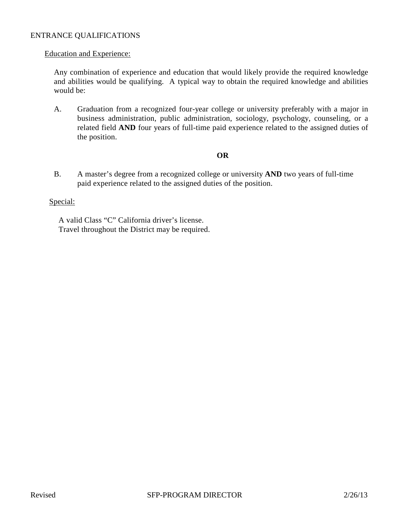### ENTRANCE QUALIFICATIONS

#### Education and Experience:

Any combination of experience and education that would likely provide the required knowledge and abilities would be qualifying. A typical way to obtain the required knowledge and abilities would be:

A. Graduation from a recognized four-year college or university preferably with a major in business administration, public administration, sociology, psychology, counseling, or a related field **AND** four years of full-time paid experience related to the assigned duties of the position.

# **OR**

B. A master's degree from a recognized college or university **AND** two years of full-time paid experience related to the assigned duties of the position.

### Special:

A valid Class "C" California driver's license. Travel throughout the District may be required.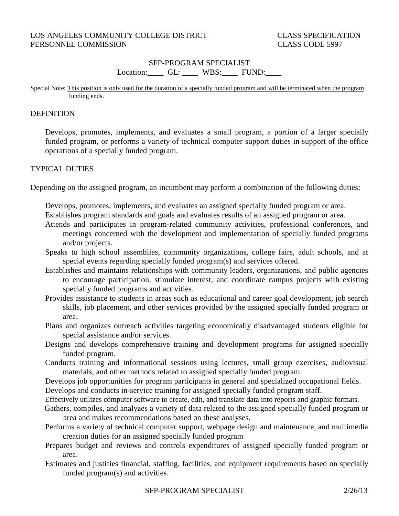# SFP-PROGRAM SPECIALIST Location: GL: \_\_\_\_ WBS: FUND:

#### Special Note: This position is only used for the duration of a specially funded program and will be terminated when the program funding ends.

### **DEFINITION**

Develops, promotes, implements, and evaluates a small program, a portion of a larger specially funded program, or performs a variety of technical computer support duties in support of the office operations of a specially funded program.

### TYPICAL DUTIES

Depending on the assigned program, an incumbent may perform a combination of the following duties:

Develops, promotes, implements, and evaluates an assigned specially funded program or area. Establishes program standards and goals and evaluates results of an assigned program or area.

- Attends and participates in program-related community activities, professional conferences, and meetings concerned with the development and implementation of specially funded programs and/or projects.
- Speaks to high school assemblies, community organizations, college fairs, adult schools, and at special events regarding specially funded program(s) and services offered.
- Establishes and maintains relationships with community leaders, organizations, and public agencies to encourage participation, stimulate interest, and coordinate campus projects with existing specially funded programs and activities.
- Provides assistance to students in areas such as educational and career goal development, job search skills, job placement, and other services provided by the assigned specially funded program or area.
- Plans and organizes outreach activities targeting economically disadvantaged students eligible for special assistance and/or services.
- Designs and develops comprehensive training and development programs for assigned specially funded program.
- Conducts training and informational sessions using lectures, small group exercises, audiovisual materials, and other methods related to assigned specially funded program.

Develops job opportunities for program participants in general and specialized occupational fields.

Develops and conducts in-service training for assigned specially funded program staff.

- Effectively utilizes computer software to create, edit, and translate data into reports and graphic formats.
- Gathers, compiles, and analyzes a variety of data related to the assigned specially funded program or area and makes recommendations based on these analyses.
- Performs a variety of technical computer support, webpage design and maintenance, and multimedia creation duties for an assigned specially funded program
- Prepares budget and reviews and controls expenditures of assigned specially funded program or area.
- Estimates and justifies financial, staffing, facilities, and equipment requirements based on specially funded program(s) and activities.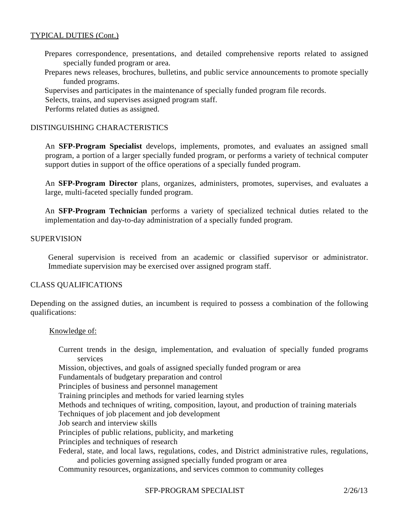## TYPICAL DUTIES (Cont.)

- Prepares correspondence, presentations, and detailed comprehensive reports related to assigned specially funded program or area.
- Prepares news releases, brochures, bulletins, and public service announcements to promote specially funded programs.
- Supervises and participates in the maintenance of specially funded program file records.
- Selects, trains, and supervises assigned program staff.

Performs related duties as assigned.

# DISTINGUISHING CHARACTERISTICS

An **SFP-Program Specialist** develops, implements, promotes, and evaluates an assigned small program, a portion of a larger specially funded program, or performs a variety of technical computer support duties in support of the office operations of a specially funded program.

An **SFP-Program Director** plans, organizes, administers, promotes, supervises, and evaluates a large, multi-faceted specially funded program.

An **SFP-Program Technician** performs a variety of specialized technical duties related to the implementation and day-to-day administration of a specially funded program.

### SUPERVISION

General supervision is received from an academic or classified supervisor or administrator. Immediate supervision may be exercised over assigned program staff.

### CLASS QUALIFICATIONS

Depending on the assigned duties, an incumbent is required to possess a combination of the following qualifications:

### Knowledge of:

Current trends in the design, implementation, and evaluation of specially funded programs services Mission, objectives, and goals of assigned specially funded program or area Fundamentals of budgetary preparation and control Principles of business and personnel management Training principles and methods for varied learning styles Methods and techniques of writing, composition, layout, and production of training materials Techniques of job placement and job development Job search and interview skills Principles of public relations, publicity, and marketing Principles and techniques of research Federal, state, and local laws, regulations, codes, and District administrative rules, regulations, and policies governing assigned specially funded program or area Community resources, organizations, and services common to community colleges

### SFP-PROGRAM SPECIALIST 2/26/13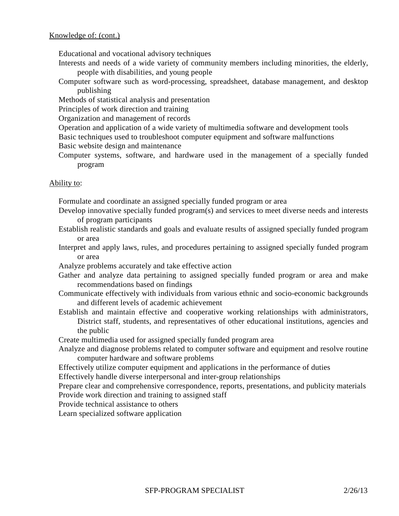# Knowledge of: (cont.)

Educational and vocational advisory techniques

- Interests and needs of a wide variety of community members including minorities, the elderly, people with disabilities, and young people
- Computer software such as word-processing, spreadsheet, database management, and desktop publishing
- Methods of statistical analysis and presentation
- Principles of work direction and training
- Organization and management of records
- Operation and application of a wide variety of multimedia software and development tools
- Basic techniques used to troubleshoot computer equipment and software malfunctions
- Basic website design and maintenance
- Computer systems, software, and hardware used in the management of a specially funded program

### Ability to:

Formulate and coordinate an assigned specially funded program or area

- Develop innovative specially funded program(s) and services to meet diverse needs and interests of program participants
- Establish realistic standards and goals and evaluate results of assigned specially funded program or area
- Interpret and apply laws, rules, and procedures pertaining to assigned specially funded program or area
- Analyze problems accurately and take effective action
- Gather and analyze data pertaining to assigned specially funded program or area and make recommendations based on findings
- Communicate effectively with individuals from various ethnic and socio-economic backgrounds and different levels of academic achievement
- Establish and maintain effective and cooperative working relationships with administrators, District staff, students, and representatives of other educational institutions, agencies and the public
- Create multimedia used for assigned specially funded program area
- Analyze and diagnose problems related to computer software and equipment and resolve routine computer hardware and software problems
- Effectively utilize computer equipment and applications in the performance of duties
- Effectively handle diverse interpersonal and inter-group relationships
- Prepare clear and comprehensive correspondence, reports, presentations, and publicity materials Provide work direction and training to assigned staff
- Provide technical assistance to others
- Learn specialized software application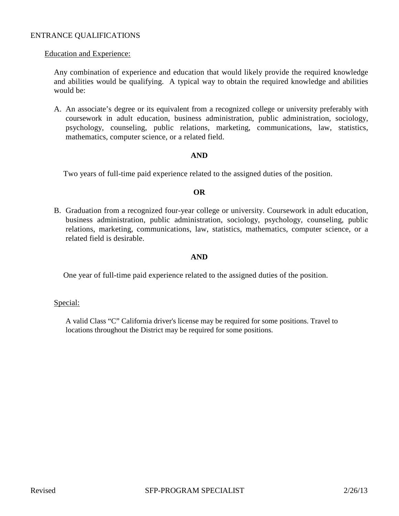### ENTRANCE QUALIFICATIONS

#### Education and Experience:

Any combination of experience and education that would likely provide the required knowledge and abilities would be qualifying. A typical way to obtain the required knowledge and abilities would be:

A. An associate's degree or its equivalent from a recognized college or university preferably with coursework in adult education, business administration, public administration, sociology, psychology, counseling, public relations, marketing, communications, law, statistics, mathematics, computer science, or a related field.

### **AND**

Two years of full-time paid experience related to the assigned duties of the position.

### **OR**

B. Graduation from a recognized four-year college or university. Coursework in adult education, business administration, public administration, sociology, psychology, counseling, public relations, marketing, communications, law, statistics, mathematics, computer science, or a related field is desirable.

### **AND**

One year of full-time paid experience related to the assigned duties of the position.

#### Special:

A valid Class "C" California driver's license may be required for some positions. Travel to locations throughout the District may be required for some positions.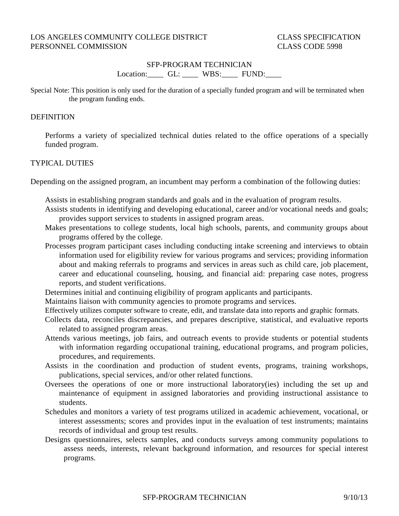# SFP-PROGRAM TECHNICIAN Location: GL: \_\_\_\_ WBS: FUND:

Special Note: This position is only used for the duration of a specially funded program and will be terminated when the program funding ends.

#### **DEFINITION**

Performs a variety of specialized technical duties related to the office operations of a specially funded program.

### TYPICAL DUTIES

Depending on the assigned program, an incumbent may perform a combination of the following duties:

- Assists in establishing program standards and goals and in the evaluation of program results.
- Assists students in identifying and developing educational, career and/or vocational needs and goals; provides support services to students in assigned program areas.
- Makes presentations to college students, local high schools, parents, and community groups about programs offered by the college.
- Processes program participant cases including conducting intake screening and interviews to obtain information used for eligibility review for various programs and services; providing information about and making referrals to programs and services in areas such as child care, job placement, career and educational counseling, housing, and financial aid: preparing case notes, progress reports, and student verifications.
- Determines initial and continuing eligibility of program applicants and participants.
- Maintains liaison with community agencies to promote programs and services.
- Effectively utilizes computer software to create, edit, and translate data into reports and graphic formats.
- Collects data, reconciles discrepancies, and prepares descriptive, statistical, and evaluative reports related to assigned program areas.
- Attends various meetings, job fairs, and outreach events to provide students or potential students with information regarding occupational training, educational programs, and program policies, procedures, and requirements.
- Assists in the coordination and production of student events, programs, training workshops, publications, special services, and/or other related functions.
- Oversees the operations of one or more instructional laboratory(ies) including the set up and maintenance of equipment in assigned laboratories and providing instructional assistance to students.
- Schedules and monitors a variety of test programs utilized in academic achievement, vocational, or interest assessments; scores and provides input in the evaluation of test instruments; maintains records of individual and group test results.
- Designs questionnaires, selects samples, and conducts surveys among community populations to assess needs, interests, relevant background information, and resources for special interest programs.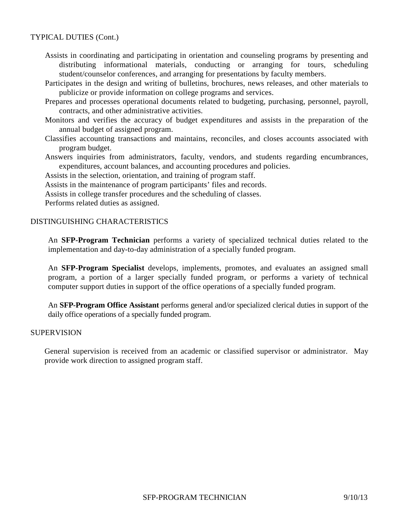### TYPICAL DUTIES (Cont.)

- Assists in coordinating and participating in orientation and counseling programs by presenting and distributing informational materials, conducting or arranging for tours, scheduling student/counselor conferences, and arranging for presentations by faculty members.
- Participates in the design and writing of bulletins, brochures, news releases, and other materials to publicize or provide information on college programs and services.
- Prepares and processes operational documents related to budgeting, purchasing, personnel, payroll, contracts, and other administrative activities.
- Monitors and verifies the accuracy of budget expenditures and assists in the preparation of the annual budget of assigned program.
- Classifies accounting transactions and maintains, reconciles, and closes accounts associated with program budget.
- Answers inquiries from administrators, faculty, vendors, and students regarding encumbrances, expenditures, account balances, and accounting procedures and policies.
- Assists in the selection, orientation, and training of program staff.
- Assists in the maintenance of program participants' files and records.
- Assists in college transfer procedures and the scheduling of classes.

Performs related duties as assigned.

### DISTINGUISHING CHARACTERISTICS

An **SFP-Program Technician** performs a variety of specialized technical duties related to the implementation and day-to-day administration of a specially funded program.

An **SFP-Program Specialist** develops, implements, promotes, and evaluates an assigned small program, a portion of a larger specially funded program, or performs a variety of technical computer support duties in support of the office operations of a specially funded program.

An **SFP-Program Office Assistant** performs general and/or specialized clerical duties in support of the daily office operations of a specially funded program.

#### **SUPERVISION**

General supervision is received from an academic or classified supervisor or administrator. May provide work direction to assigned program staff.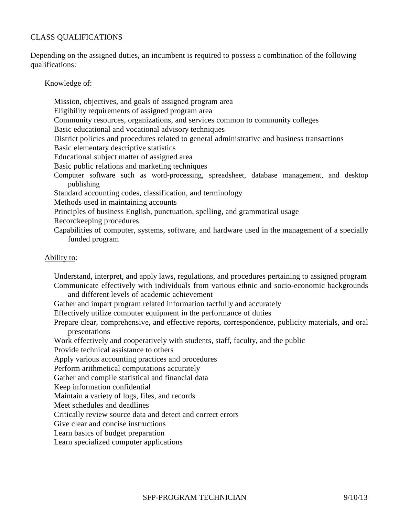# CLASS QUALIFICATIONS

Depending on the assigned duties, an incumbent is required to possess a combination of the following qualifications:

# Knowledge of:

Mission, objectives, and goals of assigned program area Eligibility requirements of assigned program area Community resources, organizations, and services common to community colleges Basic educational and vocational advisory techniques District policies and procedures related to general administrative and business transactions Basic elementary descriptive statistics Educational subject matter of assigned area Basic public relations and marketing techniques Computer software such as word-processing, spreadsheet, database management, and desktop publishing Standard accounting codes, classification, and terminology Methods used in maintaining accounts Principles of business English, punctuation, spelling, and grammatical usage Recordkeeping procedures Capabilities of computer, systems, software, and hardware used in the management of a specially funded program

### Ability to:

Understand, interpret, and apply laws, regulations, and procedures pertaining to assigned program Communicate effectively with individuals from various ethnic and socio-economic backgrounds

- and different levels of academic achievement
- Gather and impart program related information tactfully and accurately

Effectively utilize computer equipment in the performance of duties

Prepare clear, comprehensive, and effective reports, correspondence, publicity materials, and oral presentations

Work effectively and cooperatively with students, staff, faculty, and the public

Provide technical assistance to others

Apply various accounting practices and procedures

Perform arithmetical computations accurately

Gather and compile statistical and financial data

Keep information confidential

Maintain a variety of logs, files, and records

Meet schedules and deadlines

Critically review source data and detect and correct errors

Give clear and concise instructions

Learn basics of budget preparation

Learn specialized computer applications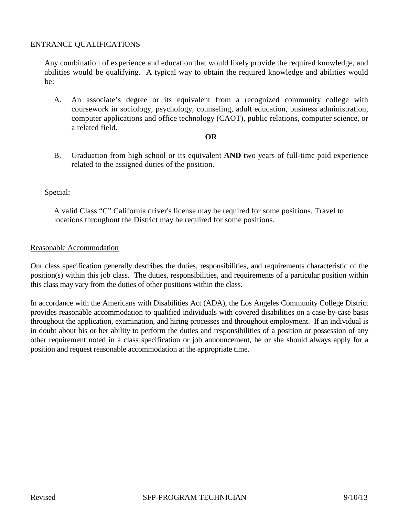# ENTRANCE QUALIFICATIONS

Any combination of experience and education that would likely provide the required knowledge, and abilities would be qualifying. A typical way to obtain the required knowledge and abilities would be:

A. An associate's degree or its equivalent from a recognized community college with coursework in sociology, psychology, counseling, adult education, business administration, computer applications and office technology (CAOT), public relations, computer science, or a related field.

#### **OR**

B. Graduation from high school or its equivalent **AND** two years of full-time paid experience related to the assigned duties of the position.

# Special:

A valid Class "C" California driver's license may be required for some positions. Travel to locations throughout the District may be required for some positions.

### Reasonable Accommodation

Our class specification generally describes the duties, responsibilities, and requirements characteristic of the position(s) within this job class. The duties, responsibilities, and requirements of a particular position within this class may vary from the duties of other positions within the class.

In accordance with the Americans with Disabilities Act (ADA), the Los Angeles Community College District provides reasonable accommodation to qualified individuals with covered disabilities on a case-by-case basis throughout the application, examination, and hiring processes and throughout employment. If an individual is in doubt about his or her ability to perform the duties and responsibilities of a position or possession of any other requirement noted in a class specification or job announcement, he or she should always apply for a position and request reasonable accommodation at the appropriate time.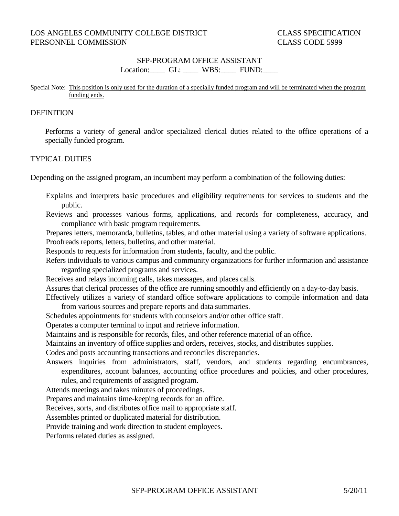### SFP-PROGRAM OFFICE ASSISTANT Location: GL: WBS: FUND:

#### Special Note: This position is only used for the duration of a specially funded program and will be terminated when the program funding ends.

#### **DEFINITION**

Performs a variety of general and/or specialized clerical duties related to the office operations of a specially funded program.

### TYPICAL DUTIES

Depending on the assigned program, an incumbent may perform a combination of the following duties:

- Explains and interprets basic procedures and eligibility requirements for services to students and the public.
- Reviews and processes various forms, applications, and records for completeness, accuracy, and compliance with basic program requirements.

Prepares letters, memoranda, bulletins, tables, and other material using a variety of software applications. Proofreads reports, letters, bulletins, and other material.

Responds to requests for information from students, faculty, and the public.

Refers individuals to various campus and community organizations for further information and assistance regarding specialized programs and services.

Receives and relays incoming calls, takes messages, and places calls.

Assures that clerical processes of the office are running smoothly and efficiently on a day-to-day basis. Effectively utilizes a variety of standard office software applications to compile information and data

from various sources and prepare reports and data summaries.

Schedules appointments for students with counselors and/or other office staff.

Operates a computer terminal to input and retrieve information.

Maintains and is responsible for records, files, and other reference material of an office.

Maintains an inventory of office supplies and orders, receives, stocks, and distributes supplies.

Codes and posts accounting transactions and reconciles discrepancies.

- Answers inquiries from administrators, staff, vendors, and students regarding encumbrances, expenditures, account balances, accounting office procedures and policies, and other procedures, rules, and requirements of assigned program.
	-

Attends meetings and takes minutes of proceedings.

Prepares and maintains time-keeping records for an office.

Receives, sorts, and distributes office mail to appropriate staff.

Assembles printed or duplicated material for distribution.

Provide training and work direction to student employees.

Performs related duties as assigned.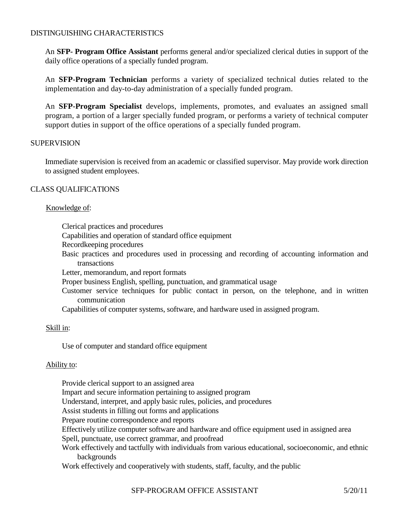# DISTINGUISHING CHARACTERISTICS

An **SFP- Program Office Assistant** performs general and/or specialized clerical duties in support of the daily office operations of a specially funded program.

An **SFP-Program Technician** performs a variety of specialized technical duties related to the implementation and day-to-day administration of a specially funded program.

An **SFP-Program Specialist** develops, implements, promotes, and evaluates an assigned small program, a portion of a larger specially funded program, or performs a variety of technical computer support duties in support of the office operations of a specially funded program.

### **SUPERVISION**

Immediate supervision is received from an academic or classified supervisor. May provide work direction to assigned student employees.

### CLASS QUALIFICATIONS

### Knowledge of:

Clerical practices and procedures

Capabilities and operation of standard office equipment

- Recordkeeping procedures
- Basic practices and procedures used in processing and recording of accounting information and transactions

Letter, memorandum, and report formats

Proper business English, spelling, punctuation, and grammatical usage

Customer service techniques for public contact in person, on the telephone, and in written communication

Capabilities of computer systems, software, and hardware used in assigned program.

### Skill in:

Use of computer and standard office equipment

#### Ability to:

Provide clerical support to an assigned area Impart and secure information pertaining to assigned program Understand, interpret, and apply basic rules, policies, and procedures Assist students in filling out forms and applications Prepare routine correspondence and reports Effectively utilize computer software and hardware and office equipment used in assigned area Spell, punctuate, use correct grammar, and proofread Work effectively and tactfully with individuals from various educational, socioeconomic, and ethnic backgrounds Work effectively and cooperatively with students, staff, faculty, and the public